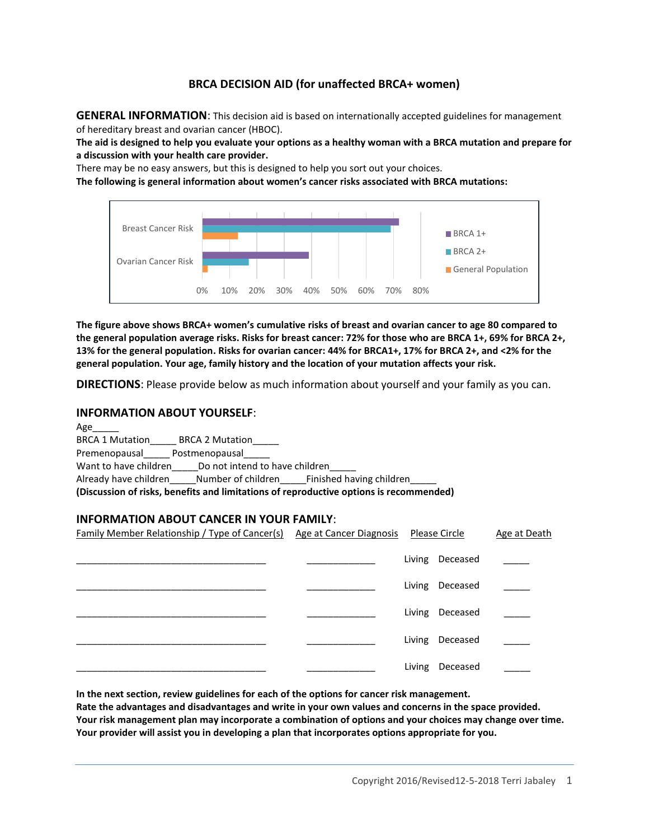## **BRCA DECISION AID (for unaffected BRCA+ women)**

**GENERAL INFORMATION**: This decision aid is based on internationally accepted guidelines for management of hereditary breast and ovarian cancer (HBOC).

**The aid is designed to help you evaluate your options as a healthy woman with a BRCA mutation and prepare for a discussion with your health care provider.**

There may be no easy answers, but this is designed to help you sort out your choices.

**The following is general information about women's cancer risks associated with BRCA mutations:**



**The figure above shows BRCA+ women's cumulative risks of breast and ovarian cancer to age 80 compared to the general population average risks. Risks for breast cancer: 72% for those who are BRCA 1+, 69% for BRCA 2+, 13% for the general population. Risks for ovarian cancer: 44% for BRCA1+, 17% for BRCA 2+, and <2% for the general population. Your age, family history and the location of your mutation affects your risk.** 

**DIRECTIONS**: Please provide below as much information about yourself and your family as you can.

#### **INFORMATION ABOUT YOURSELF**:

| Age                                                                                    |  |  |  |  |
|----------------------------------------------------------------------------------------|--|--|--|--|
| <b>BRCA 1 Mutation</b><br><b>BRCA 2 Mutation</b>                                       |  |  |  |  |
| Postmenopausal<br>Premenopausal                                                        |  |  |  |  |
| Want to have children<br>Do not intend to have children                                |  |  |  |  |
| Already have children Mumber of children Finished having children                      |  |  |  |  |
| (Discussion of risks, benefits and limitations of reproductive options is recommended) |  |  |  |  |

#### **INFORMATION ABOUT CANCER IN YOUR FAMILY**:

| <b>Family Member Relationship / Type of Cancer(s) Age at Cancer Diagnosis</b> |  | <u>Please Circle</u> | Age at Death |
|-------------------------------------------------------------------------------|--|----------------------|--------------|
|                                                                               |  | Living Deceased      |              |
|                                                                               |  | Living Deceased      |              |
|                                                                               |  | Living Deceased      |              |
|                                                                               |  | Living Deceased      |              |
|                                                                               |  | Living Deceased      |              |

**In the next section, review guidelines for each of the options for cancer risk management.** 

**Rate the advantages and disadvantages and write in your own values and concerns in the space provided. Your risk management plan may incorporate a combination of options and your choices may change over time. Your provider will assist you in developing a plan that incorporates options appropriate for you.**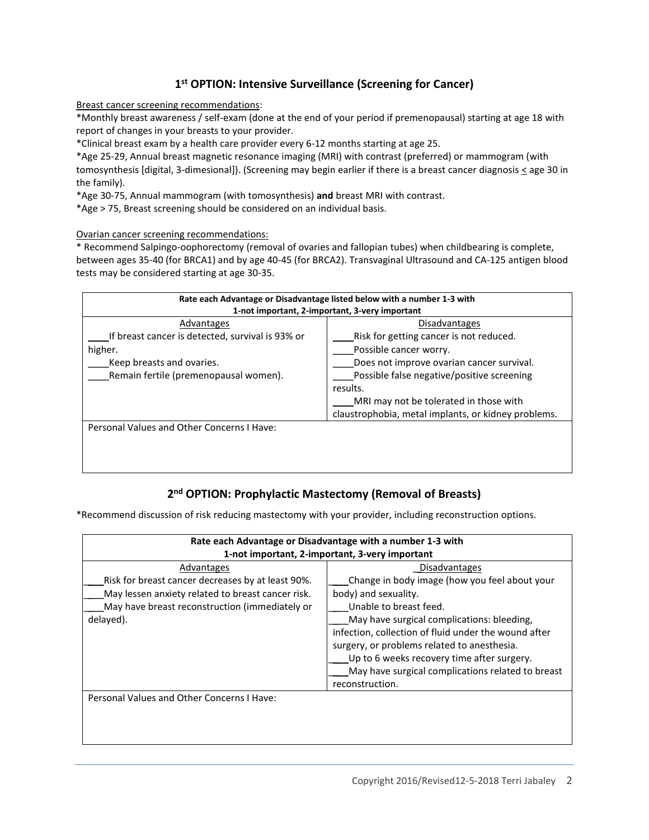# **1 st OPTION: Intensive Surveillance (Screening for Cancer)**

Breast cancer screening recommendations:

\*Monthly breast awareness / self-exam (done at the end of your period if premenopausal) starting at age 18 with report of changes in your breasts to your provider.

\*Clinical breast exam by a health care provider every 6-12 months starting at age 25.

\*Age 25-29, Annual breast magnetic resonance imaging (MRI) with contrast (preferred) or mammogram (with tomosynthesis [digital, 3-dimesional]). (Screening may begin earlier if there is a breast cancer diagnosis  $\leq$  age 30 in the family).

\*Age 30-75, Annual mammogram (with tomosynthesis) **and** breast MRI with contrast.

\*Age > 75, Breast screening should be considered on an individual basis.

Ovarian cancer screening recommendations:

\* Recommend Salpingo-oophorectomy (removal of ovaries and fallopian tubes) when childbearing is complete, between ages 35-40 (for BRCA1) and by age 40-45 (for BRCA2). Transvaginal Ultrasound and CA-125 antigen blood tests may be considered starting at age 30-35.

| Rate each Advantage or Disadvantage listed below with a number 1-3 with |                                                     |  |  |  |
|-------------------------------------------------------------------------|-----------------------------------------------------|--|--|--|
| 1-not important, 2-important, 3-very important                          |                                                     |  |  |  |
| Advantages                                                              | Disadvantages                                       |  |  |  |
| If breast cancer is detected, survival is 93% or                        | Risk for getting cancer is not reduced.             |  |  |  |
| higher.                                                                 | Possible cancer worry.                              |  |  |  |
| Keep breasts and ovaries.                                               | Does not improve ovarian cancer survival.           |  |  |  |
| Remain fertile (premenopausal women).                                   | Possible false negative/positive screening          |  |  |  |
|                                                                         | results.                                            |  |  |  |
|                                                                         | MRI may not be tolerated in those with              |  |  |  |
|                                                                         | claustrophobia, metal implants, or kidney problems. |  |  |  |
| Personal Values and Other Concerns I Have:                              |                                                     |  |  |  |
|                                                                         |                                                     |  |  |  |
|                                                                         |                                                     |  |  |  |
|                                                                         |                                                     |  |  |  |

# **2 nd OPTION: Prophylactic Mastectomy (Removal of Breasts)**

\*Recommend discussion of risk reducing mastectomy with your provider, including reconstruction options.

| Rate each Advantage or Disadvantage with a number 1-3 with |                                                      |  |  |  |
|------------------------------------------------------------|------------------------------------------------------|--|--|--|
| 1-not important, 2-important, 3-very important             |                                                      |  |  |  |
| Advantages                                                 | <b>Disadvantages</b>                                 |  |  |  |
| Risk for breast cancer decreases by at least 90%.          | Change in body image (how you feel about your        |  |  |  |
| May lessen anxiety related to breast cancer risk.          | body) and sexuality.                                 |  |  |  |
| May have breast reconstruction (immediately or             | Unable to breast feed.                               |  |  |  |
| delayed).                                                  | May have surgical complications: bleeding,           |  |  |  |
|                                                            | infection, collection of fluid under the wound after |  |  |  |
|                                                            | surgery, or problems related to anesthesia.          |  |  |  |
|                                                            | Up to 6 weeks recovery time after surgery.           |  |  |  |
|                                                            | May have surgical complications related to breast    |  |  |  |
|                                                            | reconstruction.                                      |  |  |  |
| Personal Values and Other Concerns I Have:                 |                                                      |  |  |  |
|                                                            |                                                      |  |  |  |
|                                                            |                                                      |  |  |  |
|                                                            |                                                      |  |  |  |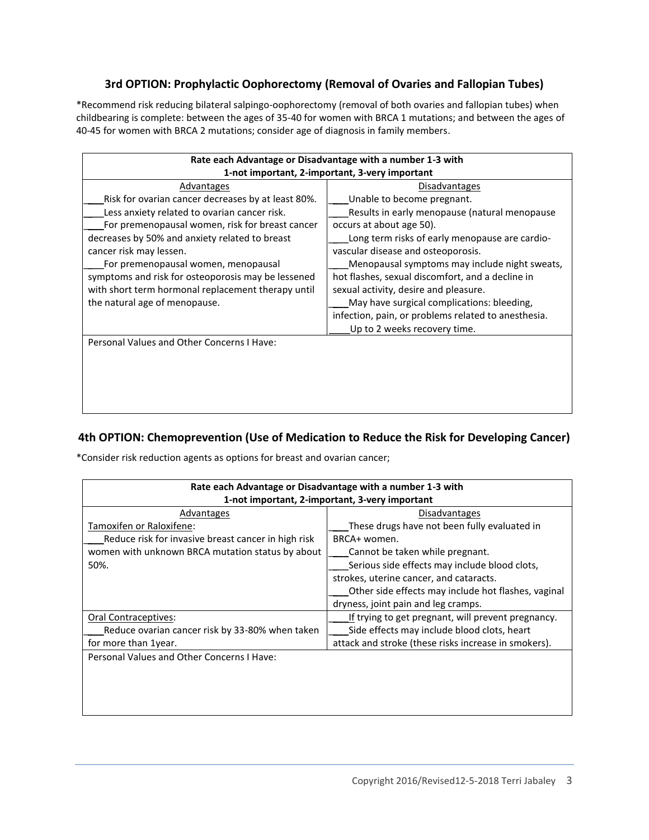# **3rd OPTION: Prophylactic Oophorectomy (Removal of Ovaries and Fallopian Tubes)**

\*Recommend risk reducing bilateral salpingo-oophorectomy (removal of both ovaries and fallopian tubes) when childbearing is complete: between the ages of 35-40 for women with BRCA 1 mutations; and between the ages of 40-45 for women with BRCA 2 mutations; consider age of diagnosis in family members.

| Rate each Advantage or Disadvantage with a number 1-3 with |                                                     |  |  |  |
|------------------------------------------------------------|-----------------------------------------------------|--|--|--|
| 1-not important, 2-important, 3-very important             |                                                     |  |  |  |
| Advantages                                                 | <b>Disadvantages</b>                                |  |  |  |
| Risk for ovarian cancer decreases by at least 80%.         | Unable to become pregnant.                          |  |  |  |
| Less anxiety related to ovarian cancer risk.               | Results in early menopause (natural menopause       |  |  |  |
| For premenopausal women, risk for breast cancer            | occurs at about age 50).                            |  |  |  |
| decreases by 50% and anxiety related to breast             | Long term risks of early menopause are cardio-      |  |  |  |
| cancer risk may lessen.                                    | vascular disease and osteoporosis.                  |  |  |  |
| For premenopausal women, menopausal                        | Menopausal symptoms may include night sweats,       |  |  |  |
| symptoms and risk for osteoporosis may be lessened         | hot flashes, sexual discomfort, and a decline in    |  |  |  |
| with short term hormonal replacement therapy until         | sexual activity, desire and pleasure.               |  |  |  |
| the natural age of menopause.                              | May have surgical complications: bleeding,          |  |  |  |
|                                                            | infection, pain, or problems related to anesthesia. |  |  |  |
|                                                            | Up to 2 weeks recovery time.                        |  |  |  |
| Personal Values and Other Concerns I Have:                 |                                                     |  |  |  |
|                                                            |                                                     |  |  |  |
|                                                            |                                                     |  |  |  |
|                                                            |                                                     |  |  |  |
|                                                            |                                                     |  |  |  |
|                                                            |                                                     |  |  |  |

# **4th OPTION: Chemoprevention (Use of Medication to Reduce the Risk for Developing Cancer)**

\*Consider risk reduction agents as options for breast and ovarian cancer;

| Rate each Advantage or Disadvantage with a number 1-3 with |                                                      |  |  |  |
|------------------------------------------------------------|------------------------------------------------------|--|--|--|
| 1-not important, 2-important, 3-very important             |                                                      |  |  |  |
| Advantages                                                 | <b>Disadvantages</b>                                 |  |  |  |
| Tamoxifen or Raloxifene:                                   | These drugs have not been fully evaluated in         |  |  |  |
| Reduce risk for invasive breast cancer in high risk        | BRCA+ women.                                         |  |  |  |
| women with unknown BRCA mutation status by about           | Cannot be taken while pregnant.                      |  |  |  |
| 50%.                                                       | Serious side effects may include blood clots,        |  |  |  |
|                                                            | strokes, uterine cancer, and cataracts.              |  |  |  |
|                                                            | Other side effects may include hot flashes, vaginal  |  |  |  |
|                                                            | dryness, joint pain and leg cramps.                  |  |  |  |
| Oral Contraceptives:                                       | If trying to get pregnant, will prevent pregnancy.   |  |  |  |
| Reduce ovarian cancer risk by 33-80% when taken            | Side effects may include blood clots, heart          |  |  |  |
| for more than 1year.                                       | attack and stroke (these risks increase in smokers). |  |  |  |
| Personal Values and Other Concerns I Have:                 |                                                      |  |  |  |
|                                                            |                                                      |  |  |  |
|                                                            |                                                      |  |  |  |
|                                                            |                                                      |  |  |  |
|                                                            |                                                      |  |  |  |